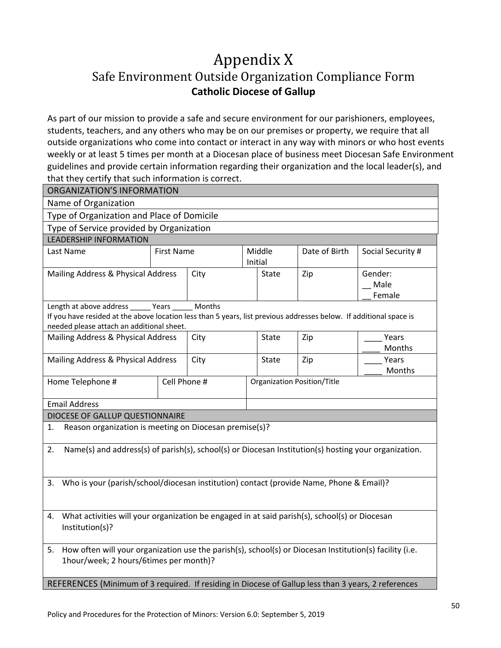## Appendix X Safe Environment Outside Organization Compliance Form **Catholic Diocese of Gallup**

As part of our mission to provide a safe and secure environment for our parishioners, employees, students, teachers, and any others who may be on our premises or property, we require that all outside organizations who come into contact or interact in any way with minors or who host events weekly or at least 5 times per month at a Diocesan place of business meet Diocesan Safe Environment guidelines and provide certain information regarding their organization and the local leader(s), and that they certify that such information is correct.

| <b>ORGANIZATION'S INFORMATION</b>                                                                                                                                                                                 |                   |      |                             |               |                           |  |  |
|-------------------------------------------------------------------------------------------------------------------------------------------------------------------------------------------------------------------|-------------------|------|-----------------------------|---------------|---------------------------|--|--|
| Name of Organization                                                                                                                                                                                              |                   |      |                             |               |                           |  |  |
| Type of Organization and Place of Domicile                                                                                                                                                                        |                   |      |                             |               |                           |  |  |
| Type of Service provided by Organization                                                                                                                                                                          |                   |      |                             |               |                           |  |  |
| <b>LEADERSHIP INFORMATION</b>                                                                                                                                                                                     |                   |      |                             |               |                           |  |  |
| Last Name                                                                                                                                                                                                         | <b>First Name</b> |      | Middle<br>Initial           | Date of Birth | Social Security #         |  |  |
| Mailing Address & Physical Address                                                                                                                                                                                |                   | City | State                       | Zip           | Gender:<br>Male<br>Female |  |  |
| Months<br>Length at above address ______ Years<br>If you have resided at the above location less than 5 years, list previous addresses below. If additional space is<br>needed please attach an additional sheet. |                   |      |                             |               |                           |  |  |
| Mailing Address & Physical Address                                                                                                                                                                                |                   | City | State                       | Zip           | Years<br>Months           |  |  |
| Mailing Address & Physical Address                                                                                                                                                                                |                   | City | State                       | Zip           | Years<br>Months           |  |  |
| Home Telephone #                                                                                                                                                                                                  | Cell Phone #      |      | Organization Position/Title |               |                           |  |  |
| <b>Email Address</b>                                                                                                                                                                                              |                   |      |                             |               |                           |  |  |
| DIOCESE OF GALLUP QUESTIONNAIRE                                                                                                                                                                                   |                   |      |                             |               |                           |  |  |
| Reason organization is meeting on Diocesan premise(s)?<br>1.                                                                                                                                                      |                   |      |                             |               |                           |  |  |
| Name(s) and address(s) of parish(s), school(s) or Diocesan Institution(s) hosting your organization.<br>2.                                                                                                        |                   |      |                             |               |                           |  |  |
| 3. Who is your (parish/school/diocesan institution) contact (provide Name, Phone & Email)?                                                                                                                        |                   |      |                             |               |                           |  |  |
| 4. What activities will your organization be engaged in at said parish(s), school(s) or Diocesan<br>Institution(s)?                                                                                               |                   |      |                             |               |                           |  |  |
| 5. How often will your organization use the parish(s), school(s) or Diocesan Institution(s) facility (i.e.<br>1hour/week; 2 hours/6times per month)?                                                              |                   |      |                             |               |                           |  |  |
| REFERENCES (Minimum of 3 required. If residing in Diocese of Gallup less than 3 years, 2 references                                                                                                               |                   |      |                             |               |                           |  |  |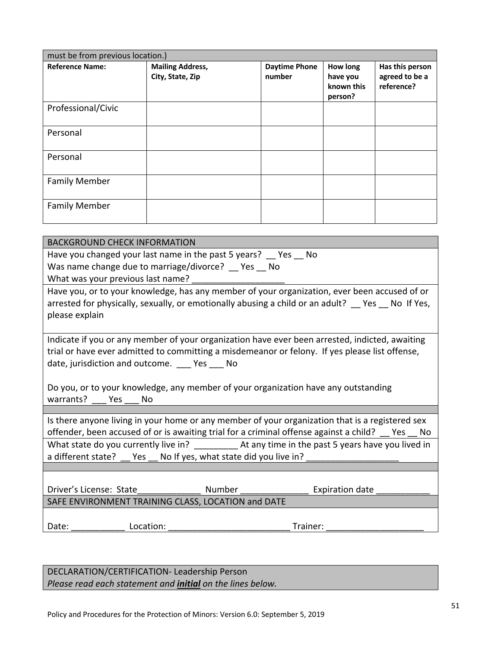| must be from previous location.) |                         |                      |                                   |                              |  |  |
|----------------------------------|-------------------------|----------------------|-----------------------------------|------------------------------|--|--|
| <b>Reference Name:</b>           | <b>Mailing Address,</b> | <b>Daytime Phone</b> | <b>How long</b>                   | Has this person              |  |  |
|                                  | City, State, Zip        | number               | have you<br>known this<br>person? | agreed to be a<br>reference? |  |  |
| Professional/Civic               |                         |                      |                                   |                              |  |  |
| Personal                         |                         |                      |                                   |                              |  |  |
| Personal                         |                         |                      |                                   |                              |  |  |
| <b>Family Member</b>             |                         |                      |                                   |                              |  |  |
| <b>Family Member</b>             |                         |                      |                                   |                              |  |  |

| <b>BACKGROUND CHECK INFORMATION</b>                                                               |  |  |  |  |  |
|---------------------------------------------------------------------------------------------------|--|--|--|--|--|
| Have you changed your last name in the past 5 years? Yes No                                       |  |  |  |  |  |
| Was name change due to marriage/divorce? _ Yes _ No                                               |  |  |  |  |  |
| What was your previous last name?                                                                 |  |  |  |  |  |
| Have you, or to your knowledge, has any member of your organization, ever been accused of or      |  |  |  |  |  |
| arrested for physically, sexually, or emotionally abusing a child or an adult? Thes Tho If Yes,   |  |  |  |  |  |
| please explain                                                                                    |  |  |  |  |  |
|                                                                                                   |  |  |  |  |  |
| Indicate if you or any member of your organization have ever been arrested, indicted, awaiting    |  |  |  |  |  |
| trial or have ever admitted to committing a misdemeanor or felony. If yes please list offense,    |  |  |  |  |  |
| date, jurisdiction and outcome. Pes Po                                                            |  |  |  |  |  |
|                                                                                                   |  |  |  |  |  |
| Do you, or to your knowledge, any member of your organization have any outstanding                |  |  |  |  |  |
| warrants? Yes<br>No                                                                               |  |  |  |  |  |
| Is there anyone living in your home or any member of your organization that is a registered sex   |  |  |  |  |  |
| offender, been accused of or is awaiting trial for a criminal offense against a child? _ Yes _ No |  |  |  |  |  |
|                                                                                                   |  |  |  |  |  |
| a different state? __ Yes __ No If yes, what state did you live in? ______                        |  |  |  |  |  |
|                                                                                                   |  |  |  |  |  |
|                                                                                                   |  |  |  |  |  |
| Expiration date _________                                                                         |  |  |  |  |  |
| CAEF ENVIDONIMENT TRAINING CLASS LOCATION and DATE                                                |  |  |  |  |  |

SAFE ENVIRONMENT TRAINING CLASS, LOCATION and DAT Date: \_\_\_\_\_\_\_\_\_\_\_ Location: \_\_\_\_\_\_\_\_\_\_\_\_\_\_\_\_\_\_\_\_\_\_\_\_\_ Trainer: \_\_\_\_\_\_\_\_\_\_\_\_\_\_\_\_\_\_\_\_

DECLARATION/CERTIFICATION- Leadership Person *Please read each statement and initial on the lines below.*